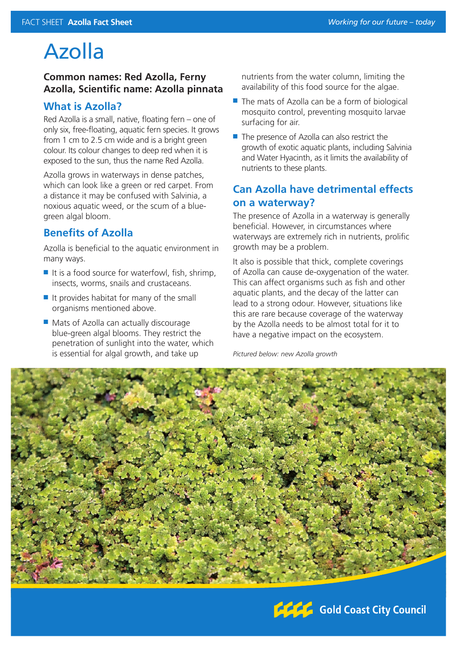# Azolla

#### **Common names: Red Azolla, Ferny Azolla, Scientific name: Azolla pinnata**

## **What is Azolla?**

Red Azolla is a small, native, floating fern – one of only six, free-floating, aquatic fern species. It grows from 1 cm to 2.5 cm wide and is a bright green colour. Its colour changes to deep red when it is exposed to the sun, thus the name Red Azolla.

Azolla grows in waterways in dense patches, which can look like a green or red carpet. From a distance it may be confused with Salvinia, a noxious aquatic weed, or the scum of a bluegreen algal bloom.

# **Benefits of Azolla**

Azolla is beneficial to the aquatic environment in many ways.

- $\blacksquare$  It is a food source for waterfowl, fish, shrimp, insects, worms, snails and crustaceans.
- $\blacksquare$  It provides habitat for many of the small organisms mentioned above.
- $\blacksquare$  Mats of Azolla can actually discourage blue-green algal blooms. They restrict the penetration of sunlight into the water, which is essential for algal growth, and take up

nutrients from the water column, limiting the availability of this food source for the algae.

- $\blacksquare$  The mats of Azolla can be a form of biological mosquito control, preventing mosquito larvae surfacing for air.
- $\blacksquare$  The presence of Azolla can also restrict the growth of exotic aquatic plants, including Salvinia and Water Hyacinth, as it limits the availability of nutrients to these plants.

## **Can Azolla have detrimental effects on a waterway?**

The presence of Azolla in a waterway is generally beneficial. However, in circumstances where waterways are extremely rich in nutrients, prolific growth may be a problem.

It also is possible that thick, complete coverings of Azolla can cause de-oxygenation of the water. This can affect organisms such as fish and other aquatic plants, and the decay of the latter can lead to a strong odour. However, situations like this are rare because coverage of the waterway by the Azolla needs to be almost total for it to have a negative impact on the ecosystem.

*Pictured below: new Azolla growth*